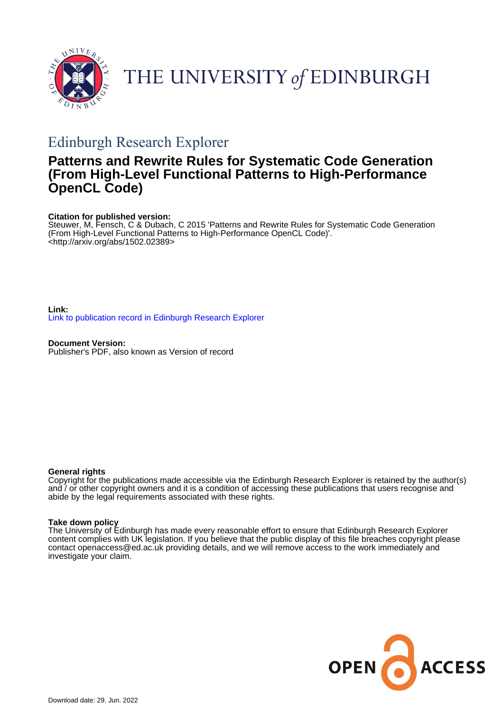

# THE UNIVERSITY of EDINBURGH

## Edinburgh Research Explorer

## **Patterns and Rewrite Rules for Systematic Code Generation (From High-Level Functional Patterns to High-Performance OpenCL Code)**

## **Citation for published version:**

Steuwer, M, Fensch, C & Dubach, C 2015 'Patterns and Rewrite Rules for Systematic Code Generation (From High-Level Functional Patterns to High-Performance OpenCL Code)'. <[http://arxiv.org/abs/1502.02389>](http://arxiv.org/abs/1502.02389)

**Link:** [Link to publication record in Edinburgh Research Explorer](https://www.research.ed.ac.uk/en/publications/ffa270a0-ec4c-41eb-9e55-5cf5c73d435a)

**Document Version:** Publisher's PDF, also known as Version of record

## **General rights**

Copyright for the publications made accessible via the Edinburgh Research Explorer is retained by the author(s) and / or other copyright owners and it is a condition of accessing these publications that users recognise and abide by the legal requirements associated with these rights.

## **Take down policy**

The University of Edinburgh has made every reasonable effort to ensure that Edinburgh Research Explorer content complies with UK legislation. If you believe that the public display of this file breaches copyright please contact openaccess@ed.ac.uk providing details, and we will remove access to the work immediately and investigate your claim.

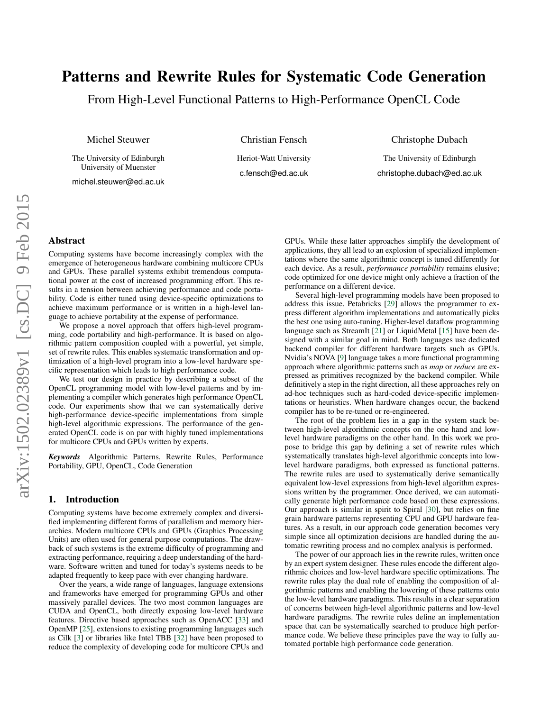## Patterns and Rewrite Rules for Systematic Code Generation

From High-Level Functional Patterns to High-Performance OpenCL Code

Michel Steuwer

The University of Edinburgh University of Muenster

michel.steuwer@ed.ac.uk

Christian Fensch

Heriot-Watt University c.fensch@ed.ac.uk

Christophe Dubach

The University of Edinburgh christophe.dubach@ed.ac.uk

#### Abstract

Computing systems have become increasingly complex with the emergence of heterogeneous hardware combining multicore CPUs and GPUs. These parallel systems exhibit tremendous computational power at the cost of increased programming effort. This results in a tension between achieving performance and code portability. Code is either tuned using device-specific optimizations to achieve maximum performance or is written in a high-level language to achieve portability at the expense of performance.

We propose a novel approach that offers high-level programming, code portability and high-performance. It is based on algorithmic pattern composition coupled with a powerful, yet simple, set of rewrite rules. This enables systematic transformation and optimization of a high-level program into a low-level hardware specific representation which leads to high performance code.

We test our design in practice by describing a subset of the OpenCL programming model with low-level patterns and by implementing a compiler which generates high performance OpenCL code. Our experiments show that we can systematically derive high-performance device-specific implementations from simple high-level algorithmic expressions. The performance of the generated OpenCL code is on par with highly tuned implementations for multicore CPUs and GPUs written by experts.

*Keywords* Algorithmic Patterns, Rewrite Rules, Performance Portability, GPU, OpenCL, Code Generation

#### 1. Introduction

Computing systems have become extremely complex and diversified implementing different forms of parallelism and memory hierarchies. Modern multicore CPUs and GPUs (Graphics Processing Units) are often used for general purpose computations. The drawback of such systems is the extreme difficulty of programming and extracting performance, requiring a deep understanding of the hardware. Software written and tuned for today's systems needs to be adapted frequently to keep pace with ever changing hardware.

Over the years, a wide range of languages, language extensions and frameworks have emerged for programming GPUs and other massively parallel devices. The two most common languages are CUDA and OpenCL, both directly exposing low-level hardware features. Directive based approaches such as OpenACC [\[33\]](#page-10-0) and OpenMP [\[25\]](#page-10-1), extensions to existing programming languages such as Cilk [\[3\]](#page-10-2) or libraries like Intel TBB [\[32\]](#page-10-3) have been proposed to reduce the complexity of developing code for multicore CPUs and

GPUs. While these latter approaches simplify the development of applications, they all lead to an explosion of specialized implementations where the same algorithmic concept is tuned differently for each device. As a result, *performance portability* remains elusive; code optimized for one device might only achieve a fraction of the performance on a different device.

Several high-level programming models have been proposed to address this issue. Petabricks [\[29\]](#page-10-4) allows the programmer to express different algorithm implementations and automatically picks the best one using auto-tuning. Higher-level dataflow programming language such as StreamIt [\[21\]](#page-10-5) or LiquidMetal [\[15\]](#page-10-6) have been designed with a similar goal in mind. Both languages use dedicated backend compiler for different hardware targets such as GPUs. Nvidia's NOVA [\[9\]](#page-10-7) language takes a more functional programming approach where algorithmic patterns such as *map* or *reduce* are expressed as primitives recognized by the backend compiler. While definitively a step in the right direction, all these approaches rely on ad-hoc techniques such as hard-coded device-specific implementations or heuristics. When hardware changes occur, the backend compiler has to be re-tuned or re-engineered.

The root of the problem lies in a gap in the system stack between high-level algorithmic concepts on the one hand and lowlevel hardware paradigms on the other hand. In this work we propose to bridge this gap by defining a set of rewrite rules which systematically translates high-level algorithmic concepts into lowlevel hardware paradigms, both expressed as functional patterns. The rewrite rules are used to systematically derive semantically equivalent low-level expressions from high-level algorithm expressions written by the programmer. Once derived, we can automatically generate high performance code based on these expressions. Our approach is similar in spirit to Spiral [\[30\]](#page-10-8), but relies on fine grain hardware patterns representing CPU and GPU hardware features. As a result, in our approach code generation becomes very simple since all optimization decisions are handled during the automatic rewriting process and no complex analysis is performed.

The power of our approach lies in the rewrite rules, written once by an expert system designer. These rules encode the different algorithmic choices and low-level hardware specific optimizations. The rewrite rules play the dual role of enabling the composition of algorithmic patterns and enabling the lowering of these patterns onto the low-level hardware paradigms. This results in a clear separation of concerns between high-level algorithmic patterns and low-level hardware paradigms. The rewrite rules define an implementation space that can be systematically searched to produce high performance code. We believe these principles pave the way to fully automated portable high performance code generation.

arXiv:1502.02389v1 [cs.DC] 9 Feb 2015 arXiv:1502.02389v1 [cs.DC] 9 Feb 2015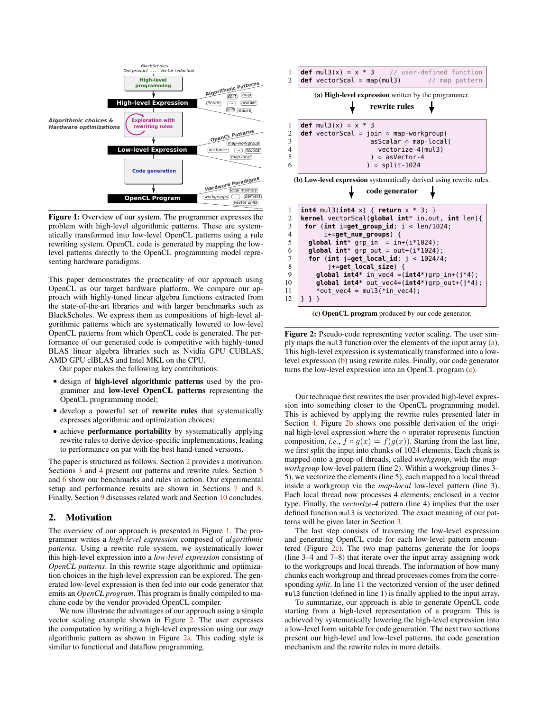<span id="page-2-1"></span>

Figure 1: Overview of our system. The programmer expresses the problem with high-level algorithmic patterns. These are systematically transformed into low-level OpenCL patterns using a rule rewriting system. OpenCL code is generated by mapping the lowlevel patterns directly to the OpenCL programming model representing hardware paradigms.

This paper demonstrates the practicality of our approach using OpenCL as our target hardware platform. We compare our approach with highly-tuned linear algebra functions extracted from the state-of-the-art libraries and with larger benchmarks such as BlackScholes. We express them as compositions of high-level algorithmic patterns which are systematically lowered to low-level OpenCL patterns from which OpenCL code is generated. The performance of our generated code is competitive with highly-tuned BLAS linear algebra libraries such as Nvidia GPU CUBLAS, AMD GPU clBLAS and Intel MKL on the CPU.

Our paper makes the following key contributions:

- design of high-level algorithmic patterns used by the programmer and low-level OpenCL patterns representing the OpenCL programming model;
- develop a powerful set of rewrite rules that systematically expresses algorithmic and optimization choices;
- achieve performance portability by systematically applying rewrite rules to derive device-specific implementations, leading to performance on par with the best hand-tuned versions.

The paper is structured as follows. Section [2](#page-2-0) provides a motivation. Sections [3](#page-3-0) and [4](#page-4-0) present our patterns and rewrite rules. Section [5](#page-6-0) and [6](#page-6-1) show our benchmarks and rules in action. Our experimental setup and performance results are shown in Sections [7](#page-8-0) and [8.](#page-8-1) Finally, Section [9](#page-9-0) discusses related work and Section [10](#page-10-9) concludes.

### <span id="page-2-0"></span>2. Motivation

The overview of our approach is presented in Figure [1.](#page-2-1) The programmer writes a *high-level expression* composed of *algorithmic patterns*. Using a rewrite rule system, we systematically lower this high-level expression into a *low-level expression* consisting of *OpenCL patterns*. In this rewrite stage algorithmic and optimization choices in the high-level expression can be explored. The generated low-level expression is then fed into our code generator that emits an *OpenCL program*. This program is finally compiled to machine code by the vendor provided OpenCL compiler.

We now illustrate the advantages of our approach using a simple vector scaling example shown in Figure [2.](#page-2-2) The user expresses the computation by writing a high-level expression using our *map* algorithmic pattern as shown in Figure [2a.](#page-2-2) This coding style is similar to functional and dataflow programming.

<span id="page-2-2"></span>



Figure 2: Pseudo-code representing vector scaling. The user simply maps the mul3 function over the elements of the input array [\(a\)](#page-2-2). This high-level expression is systematically transformed into a lowlevel expression  $(b)$  using rewrite rules. Finally, our code generator turns the low-level expression into an OpenCL program [\(c\)](#page-2-2).

Our technique first rewrites the user provided high-level expression into something closer to the OpenCL programming model. This is achieved by applying the rewrite rules presented later in Section [4.](#page-4-0) Figure [2b](#page-2-2) shows one possible derivation of the original high-level expression where the ◦ operator represents function composition, *i.e.*,  $f \circ g(x) = f(g(x))$ . Starting from the last line, we first split the input into chunks of 1024 elements. Each chunk is mapped onto a group of threads, called *workgroup*, with the *mapworkgroup* low-level pattern (line 2). Within a workgroup (lines 3– 5), we vectorize the elements (line 5), each mapped to a local thread inside a workgroup via the *map-local* low-level pattern (line 3). Each local thread now processes 4 elements, enclosed in a vector type. Finally, the *vectorize-4* pattern (line 4) implies that the user defined function mul3 is vectorized. The exact meaning of our patterns will be given later in Section [3.](#page-3-0)

The last step consists of traversing the low-level expression and generating OpenCL code for each low-level pattern encountered (Figure [2c\)](#page-2-2). The two map patterns generate the for loops (line 3–4 and 7–8) that iterate over the input array assigning work to the workgroups and local threads. The information of how many chunks each workgroup and thread processes comes from the corresponding *split*. In line 11 the vectorized version of the user defined mul3 function (defined in line 1) is finally applied to the input array.

To summarize, our approach is able to generate OpenCL code starting from a high-level representation of a program. This is achieved by systematically lowering the high-level expression into a low-level form suitable for code generation. The next two sections present our high-level and low-level patterns, the code generation mechanism and the rewrite rules in more details.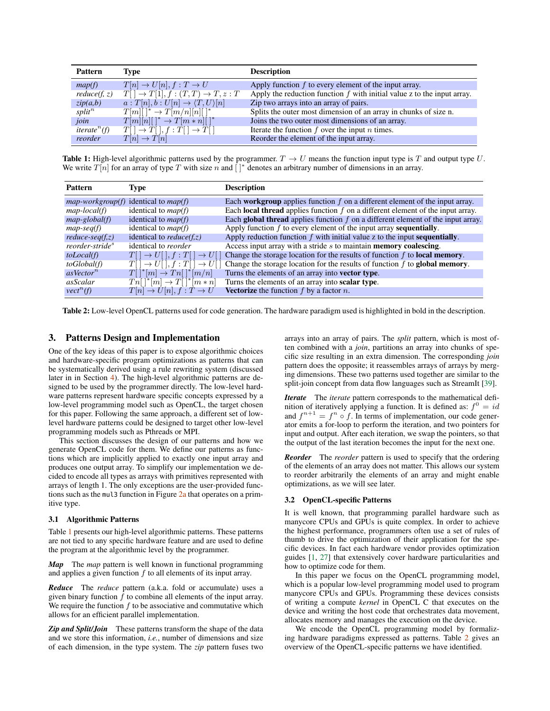<span id="page-3-1"></span>

| Pattern                                      | Type                                                    | <b>Description</b>                                                          |
|----------------------------------------------|---------------------------------------------------------|-----------------------------------------------------------------------------|
| map(f)                                       | $T[n] \rightarrow U[n], f : T \rightarrow U$            | Apply function $f$ to every element of the input array.                     |
| reduce(f, z)                                 | $T[ ] \to T[1], f: (T,T) \to T, z: T$                   | Apply the reduction function $f$ with initial value $z$ to the input array. |
| zip(a,b)                                     | $a: T[n], b: U[n] \rightarrow \langle T, U \rangle [n]$ | Zip two arrays into an array of pairs.                                      |
| split <sup>n</sup>                           | $T[m][\ ]^* \to T[m/n][n][\ ]^*$                        | Splits the outer most dimension of an array in chunks of size n.            |
| join                                         | $T[m][n][\ ]^* \to T[m*n][\ ]^*$                        | Joins the two outer most dimensions of an array.                            |
| <i>iterate</i> <sup><math>n</math></sup> (f) | $T[\ ] \rightarrow T[\ ], f : T[\ ] \rightarrow T[\ ]$  | Iterate the function $f$ over the input $n$ times.                          |
| reorder                                      | $T[n] \to T[n]$                                         | Reorder the element of the input array.                                     |

**Table 1:** High-level algorithmic patterns used by the programmer.  $T \rightarrow U$  means the function input type is T and output type U. We write  $T[n]$  for an array of type T with size n and  $[ ]^*$  denotes an arbitrary number of dimensions in an array.

<span id="page-3-2"></span>

| <b>Pattern</b>              | Type                                                   | <b>Description</b>                                                                       |
|-----------------------------|--------------------------------------------------------|------------------------------------------------------------------------------------------|
|                             | $map\text{-}workgroup(f)$ identical to $map(f)$        | Each <b>workgroup</b> applies function $f$ on a different element of the input array.    |
| $map-local(f)$              | identical to $map(f)$                                  | Each <b>local thread</b> applies function $f$ on a different element of the input array. |
| $map\text{-}global(f)$      | identical to $map(f)$                                  | Each global thread applies function $f$ on a different element of the input array.       |
| $map-seq(f)$                | identical to $map(f)$                                  | Apply function $f$ to every element of the input array sequentially.                     |
| $reduce-seq(f,z)$           | identical to <i>reduce</i> ( $f(z)$ )                  | Apply reduction function $f$ with initial value $z$ to the input sequentially.           |
| reorder-stride <sup>s</sup> | identical to <i>reorder</i>                            | Access input array with a stride s to maintain <b>memory coalescing</b> .                |
| toLocal(f)                  | $T[\ ] \rightarrow U[\ ], f : T[\ ] \rightarrow U[\ ]$ | Change the storage location for the results of function $f$ to <b>local memory</b> .     |
| to Global(f)                | $T[\ ] \rightarrow U[\ ], f : T[\ ] \rightarrow U[\ ]$ | Change the storage location for the results of function $f$ to global memory.            |
| asVector <sup>n</sup>       | $T[\ ]^*[m] \rightarrow Tn[\ ]^*[m/n]$                 | Turns the elements of an array into vector type.                                         |
| <i>asScalar</i>             | $T_{n}$ [ *[m] $\rightarrow T$ [ *[m * n]              | Turns the elements of an array into scalar type.                                         |
| $\text{vect}^n(f)$          | $T[n] \rightarrow U[n], f : T \rightarrow U$           | <b>Vectorize</b> the function $f$ by a factor $n$ .                                      |

Table 2: Low-level OpenCL patterns used for code generation. The hardware paradigm used is highlighted in bold in the description.

#### <span id="page-3-0"></span>3. Patterns Design and Implementation

One of the key ideas of this paper is to expose algorithmic choices and hardware-specific program optimizations as patterns that can be systematically derived using a rule rewriting system (discussed later in in Section [4\)](#page-4-0). The high-level algorithmic patterns are designed to be used by the programmer directly. The low-level hardware patterns represent hardware specific concepts expressed by a low-level programming model such as OpenCL, the target chosen for this paper. Following the same approach, a different set of lowlevel hardware patterns could be designed to target other low-level programming models such as Pthreads or MPI.

This section discusses the design of our patterns and how we generate OpenCL code for them. We define our patterns as functions which are implicitly applied to exactly one input array and produces one output array. To simplify our implementation we decided to encode all types as arrays with primitives represented with arrays of length 1. The only exceptions are the user-provided functions such as the mul3 function in Figure [2a](#page-2-2) that operates on a primitive type.

#### 3.1 Algorithmic Patterns

Table [1](#page-3-1) presents our high-level algorithmic patterns. These patterns are not tied to any specific hardware feature and are used to define the program at the algorithmic level by the programmer.

*Map* The *map* pattern is well known in functional programming and applies a given function  $f$  to all elements of its input array.

*Reduce* The *reduce* pattern (a.k.a. fold or accumulate) uses a given binary function  $f$  to combine all elements of the input array. We require the function  $f$  to be associative and commutative which allows for an efficient parallel implementation.

*Zip and Split/Join* These patterns transform the shape of the data and we store this information, *i.e.*, number of dimensions and size of each dimension, in the type system. The *zip* pattern fuses two arrays into an array of pairs. The *split* pattern, which is most often combined with a *join*, partitions an array into chunks of specific size resulting in an extra dimension. The corresponding *join* pattern does the opposite; it reassembles arrays of arrays by merging dimensions. These two patterns used together are similar to the split-join concept from data flow languages such as StreamIt [\[39\]](#page-10-10).

*Iterate* The *iterate* pattern corresponds to the mathematical definition of iteratively applying a function. It is defined as:  $f^0 = id$ and  $f^{n+1} = f^n \circ f$ . In terms of implementation, our code generator emits a for-loop to perform the iteration, and two pointers for input and output. After each iteration, we swap the pointers, so that the output of the last iteration becomes the input for the next one.

*Reorder* The *reorder* pattern is used to specify that the ordering of the elements of an array does not matter. This allows our system to reorder arbitrarily the elements of an array and might enable optimizations, as we will see later.

#### 3.2 OpenCL-specific Patterns

It is well known, that programming parallel hardware such as manycore CPUs and GPUs is quite complex. In order to achieve the highest performance, programmers often use a set of rules of thumb to drive the optimization of their application for the specific devices. In fact each hardware vendor provides optimization guides [\[1,](#page-10-11) [27\]](#page-10-12) that extensively cover hardware particularities and how to optimize code for them.

In this paper we focus on the OpenCL programming model, which is a popular low-level programming model used to program manycore CPUs and GPUs. Programming these devices consists of writing a compute *kernel* in OpenCL C that executes on the device and writing the host code that orchestrates data movement, allocates memory and manages the execution on the device.

We encode the OpenCL programming model by formalizing hardware paradigms expressed as patterns. Table [2](#page-3-2) gives an overview of the OpenCL-specific patterns we have identified.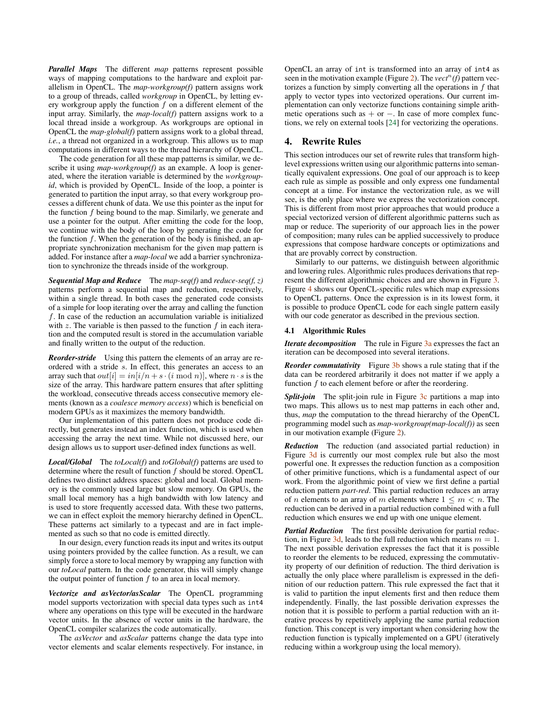*Parallel Maps* The different *map* patterns represent possible ways of mapping computations to the hardware and exploit parallelism in OpenCL. The *map-workgroup(f)* pattern assigns work to a group of threads, called *workgroup* in OpenCL, by letting every workgroup apply the function  $f$  on a different element of the input array. Similarly, the *map-local(f)* pattern assigns work to a local thread inside a workgroup. As workgroups are optional in OpenCL the *map-global(f)* pattern assigns work to a global thread, *i.e.*, a thread not organized in a workgroup. This allows us to map computations in different ways to the thread hierarchy of OpenCL.

The code generation for all these map patterns is similar, we describe it using *map-workgroup(f)* as an example. A loop is generated, where the iteration variable is determined by the *workgroupid*, which is provided by OpenCL. Inside of the loop, a pointer is generated to partition the input array, so that every workgroup processes a different chunk of data. We use this pointer as the input for the function  $f$  being bound to the map. Similarly, we generate and use a pointer for the output. After emitting the code for the loop, we continue with the body of the loop by generating the code for the function  $f$ . When the generation of the body is finished, an appropriate synchronization mechanism for the given map pattern is added. For instance after a *map-local* we add a barrier synchronization to synchronize the threads inside of the workgroup.

*Sequential Map and Reduce* The *map-seq(f)* and *reduce-seq(f, z)* patterns perform a sequential map and reduction, respectively, within a single thread. In both cases the generated code consists of a simple for loop iterating over the array and calling the function  $f$ . In case of the reduction an accumulation variable is initialized with  $z$ . The variable is then passed to the function  $f$  in each iteration and the computed result is stored in the accumulation variable and finally written to the output of the reduction.

*Reorder-stride* Using this pattern the elements of an array are reordered with a stride s. In effect, this generates an access to an array such that  $out[i] = in[i/n + s \cdot (i \mod n)]$ , where  $n \cdot s$  is the size of the array. This hardware pattern ensures that after splitting the workload, consecutive threads access consecutive memory elements (known as a *coalesce memory access*) which is beneficial on modern GPUs as it maximizes the memory bandwidth.

Our implementation of this pattern does not produce code directly, but generates instead an index function, which is used when accessing the array the next time. While not discussed here, our design allows us to support user-defined index functions as well.

*Local/Global* The *toLocal(f)* and *toGlobal(f)* patterns are used to determine where the result of function  $f$  should be stored. OpenCL defines two distinct address spaces: global and local. Global memory is the commonly used large but slow memory. On GPUs, the small local memory has a high bandwidth with low latency and is used to store frequently accessed data. With these two patterns, we can in effect exploit the memory hierarchy defined in OpenCL. These patterns act similarly to a typecast and are in fact implemented as such so that no code is emitted directly.

In our design, every function reads its input and writes its output using pointers provided by the callee function. As a result, we can simply force a store to local memory by wrapping any function with our *toLocal* pattern. In the code generator, this will simply change the output pointer of function  $f$  to an area in local memory.

*Vectorize and asVector/asScalar* The OpenCL programming model supports vectorization with special data types such as int4 where any operations on this type will be executed in the hardware vector units. In the absence of vector units in the hardware, the OpenCL compiler scalarizes the code automatically.

The *asVector* and *asScalar* patterns change the data type into vector elements and scalar elements respectively. For instance, in OpenCL an array of int is transformed into an array of int4 as seen in the motivation example (Figure [2\)](#page-2-2). The  $\text{vec}^n(f)$  pattern vectorizes a function by simply converting all the operations in  $f$  that apply to vector types into vectorized operations. Our current implementation can only vectorize functions containing simple arithmetic operations such as  $+$  or  $-$ . In case of more complex functions, we rely on external tools [\[24\]](#page-10-13) for vectorizing the operations.

### <span id="page-4-0"></span>4. Rewrite Rules

This section introduces our set of rewrite rules that transform highlevel expressions written using our algorithmic patterns into semantically equivalent expressions. One goal of our approach is to keep each rule as simple as possible and only express one fundamental concept at a time. For instance the vectorization rule, as we will see, is the only place where we express the vectorization concept. This is different from most prior approaches that would produce a special vectorized version of different algorithmic patterns such as map or reduce. The superiority of our approach lies in the power of composition; many rules can be applied successively to produce expressions that compose hardware concepts or optimizations and that are provably correct by construction.

Similarly to our patterns, we distinguish between algorithmic and lowering rules. Algorithmic rules produces derivations that represent the different algorithmic choices and are shown in Figure [3.](#page-5-0) Figure [4](#page-5-1) shows our OpenCL-specific rules which map expressions to OpenCL patterns. Once the expression is in its lowest form, it is possible to produce OpenCL code for each single pattern easily with our code generator as described in the previous section.

#### 4.1 Algorithmic Rules

*Iterate decomposition* The rule in Figure [3a](#page-5-0) expresses the fact an iteration can be decomposed into several iterations.

*Reorder commutativity* Figure [3b](#page-5-0) shows a rule stating that if the data can be reordered arbitrarily it does not matter if we apply a function  $f$  to each element before or after the reordering.

**Split-join** The split-join rule in Figure [3c](#page-5-0) partitions a map into two maps. This allows us to nest map patterns in each other and, thus, *map* the computation to the thread hierarchy of the OpenCL programming model such as *map-workgroup(map-local(f))* as seen in our motivation example (Figure [2\)](#page-2-2).

*Reduction* The reduction (and associated partial reduction) in Figure [3d](#page-5-0) is currently our most complex rule but also the most powerful one. It expresses the reduction function as a composition of other primitive functions, which is a fundamental aspect of our work. From the algorithmic point of view we first define a partial reduction pattern *part-red*. This partial reduction reduces an array of *n* elements to an array of *m* elements where  $1 \leq m < n$ . The reduction can be derived in a partial reduction combined with a full reduction which ensures we end up with one unique element.

*Partial Reduction* The first possible derivation for partial reduc-tion, in Figure [3d,](#page-5-0) leads to the full reduction which means  $m = 1$ . The next possible derivation expresses the fact that it is possible to reorder the elements to be reduced, expressing the commutativity property of our definition of reduction. The third derivation is actually the only place where parallelism is expressed in the definition of our reduction pattern. This rule expressed the fact that it is valid to partition the input elements first and then reduce them independently. Finally, the last possible derivation expresses the notion that it is possible to perform a partial reduction with an iterative process by repetitively applying the same partial reduction function. This concept is very important when considering how the reduction function is typically implemented on a GPU (iteratively reducing within a workgroup using the local memory).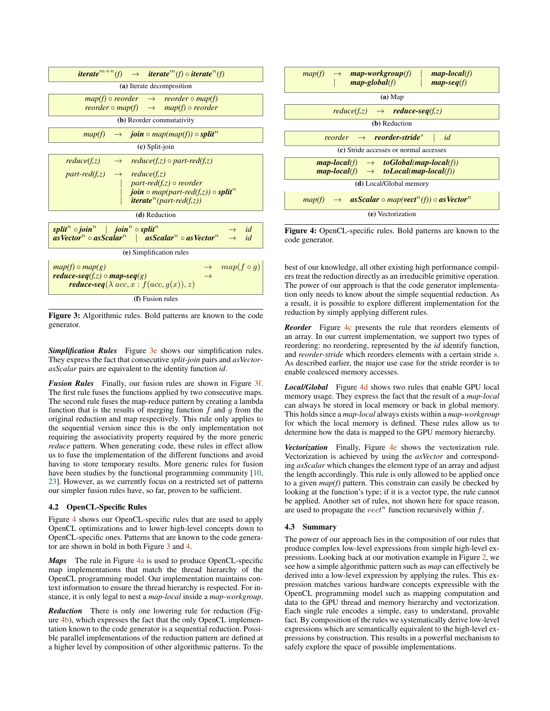<span id="page-5-0"></span>

| <i>iterate</i> <sup><math>m+n</math></sup> (f) $\rightarrow$ <i>iterate</i> <sup><math>m</math></sup> (f) $\circ$ <i>iterate</i> <sup><math>n</math></sup> (f)                                                                                                                               |  |  |  |
|----------------------------------------------------------------------------------------------------------------------------------------------------------------------------------------------------------------------------------------------------------------------------------------------|--|--|--|
| (a) Iterate decomposition                                                                                                                                                                                                                                                                    |  |  |  |
| $map(f) \circ reorder \rightarrow reorder \circ map(f)$<br>reorder $\circ$ map(f) $\rightarrow$ map(f) $\circ$ reorder                                                                                                                                                                       |  |  |  |
| (b) Reorder commutativity                                                                                                                                                                                                                                                                    |  |  |  |
| $map(f) \rightarrow join \circ map(map(f)) \circ split^{n}$                                                                                                                                                                                                                                  |  |  |  |
| $(c)$ Split-join                                                                                                                                                                                                                                                                             |  |  |  |
| $reduce(f,z) \rightarrow reduce(f,z) \circ part-red(f,z)$<br>$part-red(f,z)$ $\rightarrow$ $reduce(f,z)$<br>$\int$ part-red(f,z) $\circ$ reorder<br><b>join</b> $\circ$ map(part-red(f,z)) $\circ$ split <sup>n</sup><br><b><i>iterate<sup>n</sup></i></b> ( <i>part-red</i> ( <i>f,z</i> )) |  |  |  |
| (d) Reduction                                                                                                                                                                                                                                                                                |  |  |  |
| split <sup>n</sup> o join <sup>n</sup>   join <sup>n</sup> o split <sup>n</sup><br>$\rightarrow$ id<br>$asVectorn \circ asScalarn$   asScalar <sup>n</sup> $\circ$ asVector <sup>n</sup> $\rightarrow$ id                                                                                    |  |  |  |
| (e) Simplification rules                                                                                                                                                                                                                                                                     |  |  |  |
| $\rightarrow$ map(f $\circ$ g)<br>$map(f) \circ map(g)$<br>reduce-seq(f,z) $\circ$ map-seq(g)<br><b>reduce-seq</b> ( $\lambda$ acc, $x : f(acc, g(x)), z)$                                                                                                                                   |  |  |  |
| (f) Fusion rules                                                                                                                                                                                                                                                                             |  |  |  |

Figure 3: Algorithmic rules. Bold patterns are known to the code generator.

**Simplification Rules** Figure [3e](#page-5-0) shows our simplification rules. They express the fact that consecutive *split*-*join* pairs and *asVectorasScalar* pairs are equivalent to the identity function *id*.

*Fusion Rules* Finally, our fusion rules are shown in Figure [3f.](#page-5-0) The first rule fuses the functions applied by two consecutive maps. The second rule fuses the map-reduce pattern by creating a lambda function that is the results of merging function  $f$  and  $g$  from the original reduction and map respectively. This rule only applies to the sequential version since this is the only implementation not requiring the associativity property required by the more generic *reduce* pattern. When generating code, these rules in effect allow us to fuse the implementation of the different functions and avoid having to store temporary results. More generic rules for fusion have been studies by the functional programming community [\[10,](#page-10-14) [23\]](#page-10-15). However, as we currently focus on a restricted set of patterns our simpler fusion rules have, so far, proven to be sufficient.

#### 4.2 OpenCL-Specific Rules

Figure [4](#page-5-1) shows our OpenCL-specific rules that are used to apply OpenCL optimizations and to lower high-level concepts down to OpenCL-specific ones. Patterns that are known to the code generator are shown in bold in both Figure [3](#page-5-0) and [4.](#page-5-1)

*Maps* The rule in Figure [4a](#page-5-1) is used to produce OpenCL-specific map implementations that match the thread hierarchy of the OpenCL programming model. Our implementation maintains context information to ensure the thread hierarchy is respected. For instance, it is only legal to nest a *map-local* inside a *map-workgroup*.

*Reduction* There is only one lowering rule for reduction (Figure [4b\)](#page-5-1), which expresses the fact that the only OpenCL implementation known to the code generator is a sequential reduction. Possible parallel implementations of the reduction pattern are defined at a higher level by composition of other algorithmic patterns. To the

<span id="page-5-1"></span>

Figure 4: OpenCL-specific rules. Bold patterns are known to the code generator.

best of our knowledge, all other existing high performance compilers treat the reduction directly as an irreducible primitive operation. The power of our approach is that the code generator implementation only needs to know about the simple sequential reduction. As a result, it is possible to explore different implementation for the reduction by simply applying different rules.

*Reorder* Figure [4c](#page-5-1) presents the rule that reorders elements of an array. In our current implementation, we support two types of reordering: no reordering, represented by the *id* identify function, and *reorder-stride* which reorders elements with a certain stride s. As described earlier, the major use case for the stride reorder is to enable coalesced memory accesses.

*Local/Global* Figure [4d](#page-5-1) shows two rules that enable GPU local memory usage. They express the fact that the result of a *map-local* can always be stored in local memory or back in global memory. This holds since a *map-local* always exists within a *map-workgroup* for which the local memory is defined. These rules allow us to determine how the data is mapped to the GPU memory hierarchy.

*Vectorization* Finally, Figure [4e](#page-5-1) shows the vectorization rule. Vectorization is achieved by using the *asVector* and corresponding *asScalar* which changes the element type of an array and adjust the length accordingly. This rule is only allowed to be applied once to a given *map(f)* pattern. This constrain can easily be checked by looking at the function's type; if it is a vector type, the rule cannot be applied. Another set of rules, not shown here for space reason, are used to propagate the  $vect<sup>n</sup>$  function recursively within f.

#### 4.3 Summary

The power of our approach lies in the composition of our rules that produce complex low-level expressions from simple high-level expressions. Looking back at our motivation example in Figure [2,](#page-2-2) we see how a simple algorithmic pattern such as *map* can effectively be derived into a low-level expression by applying the rules. This expression matches various hardware concepts expressible with the OpenCL programming model such as mapping computation and data to the GPU thread and memory hierarchy and vectorization. Each single rule encodes a simple, easy to understand, provable fact. By composition of the rules we systematically derive low-level expressions which are semantically equivalent to the high-level expressions by construction. This results in a powerful mechanism to safely explore the space of possible implementations.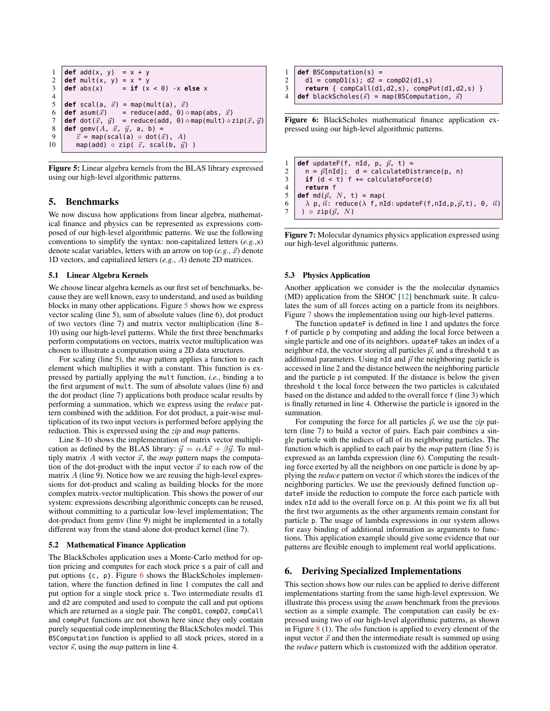```
1 def add(x, y) = x + y2 def mult(x, y) = x * y<br>3 def abs(x) = \mathbf{if} (x
3 \mid \text{def abs}(x) = \text{if} \quad (x < 0) \quad \text{-}x \text{ else } x\frac{4}{5}def scal(a, \vec{x}) = map(mult(a), \vec{x})
6 def asum(\vec{x}) = reduce(add, 0) ⊙map(abs, \vec{x})<br>7 def dot(\vec{x}, \vec{u}) = reduce(add, 0) ⊙map(mult) ⊙
7 def dot(\vec{x}, \vec{y}) = reduce(add, 0) ∘map(mult) ∘ zip(\vec{x}, \vec{y}) 8 def gemy(A \times \vec{x} \vec{y} a b) =
      def gemv(A, \vec{x}, \vec{y}, a, b) =
9 \vec{z} = map(scal(a) \circ dot(\vec{x}), A)
10 map(add) \circ zip( \vec{z}, scal(b, \vec{y}) )
```
Figure 5: Linear algebra kernels from the BLAS library expressed using our high-level algorithmic patterns.

## <span id="page-6-0"></span>5. Benchmarks

We now discuss how applications from linear algebra, mathematical finance and physics can be represented as expressions composed of our high-level algorithmic patterns. We use the following conventions to simplify the syntax: non-capitalized letters (*e.g.*,x) denote scalar variables, letters with an arrow on top  $(e.g., \vec{x})$  denote 1D vectors, and capitalized letters (*e.g.*, A) denote 2D matrices.

#### 5.1 Linear Algebra Kernels

We choose linear algebra kernels as our first set of benchmarks, because they are well known, easy to understand, and used as building blocks in many other applications. Figure [5](#page-6-2) shows how we express vector scaling (line 5), sum of absolute values (line 6), dot product of two vectors (line 7) and matrix vector multiplication (line 8– 10) using our high-level patterns. While the first three benchmarks perform computations on vectors, matrix vector multiplication was chosen to illustrate a computation using a 2D data structures.

For scaling (line 5), the *map* pattern applies a function to each element which multiplies it with a constant. This function is expressed by partially applying the mult function, *i.e.*, binding a to the first argument of mult. The sum of absolute values (line 6) and the dot product (line 7) applications both produce scalar results by performing a summation, which we express using the *reduce* pattern combined with the addition. For dot product, a pair-wise multiplication of its two input vectors is performed before applying the reduction. This is expressed using the *zip* and *map* patterns.

Line 8–10 shows the implementation of matrix vector multiplication as defined by the BLAS library:  $\vec{y} = \alpha A\vec{x} + \beta \vec{y}$ . To multiply matrix  $A$  with vector  $\vec{x}$ , the *map* pattern maps the computation of the dot-product with the input vector  $\vec{x}$  to each row of the matrix  $\vec{A}$  (line 9). Notice how we are reusing the high-level expressions for dot-product and scaling as building blocks for the more complex matrix-vector multiplication. This shows the power of our system: expressions describing algorithmic concepts can be reused, without committing to a particular low-level implementation; The dot-product from gemv (line 9) might be implemented in a totally different way from the stand-alone dot-product kernel (line 7).

#### 5.2 Mathematical Finance Application

The BlackScholes application uses a Monte-Carlo method for option pricing and computes for each stock price s a pair of call and put options  $\{c, p\}$ . Figure [6](#page-6-3) shows the BlackScholes implementation, where the function defined in line 1 computes the call and put option for a single stock price s. Two intermediate results d1 and d2 are computed and used to compute the call and put options which are returned as a single pair. The compD1, compD2, compCall and compPut functions are not shown here since they only contain purely sequential code implementing the BlackScholes model. This BSComputation function is applied to all stock prices, stored in a vector  $\vec{s}$ , using the *map* pattern in line 4.

```
1 def BSComputation(s) = 2 \text{ d1} = \text{compD1(s)}; d2 =
\begin{array}{c|c} 2 & d1 = \text{compD1}(s); d2 = \text{compD2}(d1,s) \\ 3 & \text{return } \{ \text{ compCall}(d1.d2.s), \text{ compP1}(s) \} \end{array}
```
3 **return** { compCall(d1,d2,s), compPut(d1,d2,s) }

```
4 def blackScholes(\vec{s}) = map(BSComputation, \vec{s})
```
Figure 6: BlackScholes mathematical finance application expressed using our high-level algorithmic patterns.

```
1 def updateF(f, nId, p, \vec{p}, t) =<br>2 n = \vec{p}InIdl: d = calculateDi
       n = p[nId]; d = calculateDistrance(p, n)
3 if (d < t) f += calculateForce(d)
       4 return f
5 def md(\vec{p}, N, t) = map(
6 \lambda p, \vec{n}: reduce(\lambda f, nId: updateF(f, nId, p, \vec{p}, t), 0, \vec{n})
7 ) \circ zip(\vec{p}, N)
```
Figure 7: Molecular dynamics physics application expressed using our high-level algorithmic patterns.

#### 5.3 Physics Application

Another application we consider is the the molecular dynamics (MD) application from the SHOC [\[12\]](#page-10-16) benchmark suite. It calculates the sum of all forces acting on a particle from its neighbors. Figure [7](#page-6-4) shows the implementation using our high-level patterns.

The function updateF is defined in line 1 and updates the force f of particle p by computing and adding the local force between a single particle and one of its neighbors. updateF takes an index of a neighbor nId, the vector storing all particles  $\vec{p}$ , and a threshold t as additional parameters. Using nId and  $\vec{p}$  the neighboring particle is accessed in line 2 and the distance between the neighboring particle and the particle p ist computed. If the distance is below the given threshold t the local force between the two particles is calculated based on the distance and added to the overall force f (line 3) which is finally returned in line 4. Otherwise the particle is ignored in the summation.

For computing the force for all particles  $\vec{p}$ , we use the *zip* pattern (line 7) to build a vector of pairs. Each pair combines a single particle with the indices of all of its neighboring particles. The function which is applied to each pair by the *map* pattern (line 5) is expressed as an lambda expression (line 6). Computing the resulting force exerted by all the neighbors on one particle is done by applying the *reduce* pattern on vector  $\vec{n}$  which stores the indices of the neighboring particles. We use the previously defined function updateF inside the reduction to compute the force each particle with index nId add to the overall force on p. At this point we fix all but the first two arguments as the other arguments remain constant for particle p. The usage of lambda expressions in our system allows for easy binding of additional information as arguments to functions. This application example should give some evidence that our patterns are flexible enough to implement real world applications.

#### <span id="page-6-1"></span>6. Deriving Specialized Implementations

This section shows how our rules can be applied to derive different implementations starting from the same high-level expression. We illustrate this process using the *asum* benchmark from the previous section as a simple example. The computation can easily be expressed using two of our high-level algorithmic patterns, as shown in Figure  $8(1)$  $8(1)$ . The *abs* function is applied to every element of the input vector  $\vec{x}$  and then the intermediate result is summed up using the *reduce* pattern which is customized with the addition operator.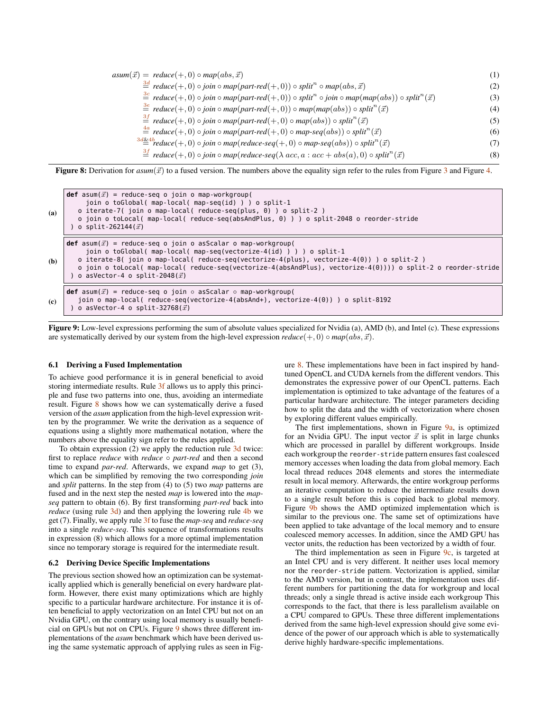<span id="page-7-0"></span> $asum(\vec{x}) = reduce(+, 0) \circ map(abs, \vec{x})$  (1)  $\stackrel{3d}{=}$  $\stackrel{3d}{=}$  $\stackrel{3d}{=}$  *reduce*(+, 0) ◦ *join* ◦ *map*(*part-red*(+, 0)) ◦ *split*<sup>n</sup> ◦ *map*(*abs,*  $\vec{x}$ ) (2)  $\stackrel{3c}{=}$  $\stackrel{3c}{=}$  $\stackrel{3c}{=}$  *reduce*(+, 0) ◦ *join* ◦ *map*(*part-red*(+, 0)) ◦ *split*<sup>n</sup> ◦ *join* ◦ *map*(*map*(*abs*)) ◦ *split*<sup>n</sup>( $\vec{x}$ ) (3)  $\frac{3e}{2}$  $\frac{3e}{2}$  $\frac{3e}{2}$  *reduce*(+, 0) ◦ *join* ◦ *map*(*part-red*(+, 0)) ◦ *map*(*map*(*abs*)) ◦ *split*<sup>n</sup>( $\vec{x}$ ) (4)  $\stackrel{3f}{=}$  $\stackrel{3f}{=}$  $\stackrel{3f}{=}$  *reduce*(+, 0)  $\circ$  *join*  $\circ$  *map*(*part-red*(+, 0)  $\circ$  *map*(*abs*))  $\circ$  *split*<sup>*n*</sup>  $(\vec{x})$  (5)  $\stackrel{4a}{=}$  $\stackrel{4a}{=}$  $\stackrel{4a}{=}$  *reduce*(+, 0)  $\circ$  *join*  $\circ$  *map*(*part-red*(+, 0)  $\circ$  *map-seq*(abs))  $\circ$  *split*<sup>n</sup>( $\vec{x}$ )  $(\vec{x})$  (6)  $\stackrel{3d\&4b}{=}$  $\stackrel{3d\&4b}{=}$  $\stackrel{3d\&4b}{=}$  $\stackrel{3d\&4b}{=}$  $\stackrel{3d\&4b}{=}$  *reduce*(+, 0)  $\circ$  *join*  $\circ$  *map*(*reduce-seq*(+, 0)  $\circ$  *map-seq*(abs))  $\circ$  *split*<sup>n</sup>( $\vec{x}$ )  $(\vec{x})$  (7)  $\stackrel{3f}{=}$  $\stackrel{3f}{=}$  $\stackrel{3f}{=}$  *reduce*(+, 0) ◦ *join* ◦ *map*(*reduce-seq*( $\lambda$  *acc*, *a* : *acc* + *abs*(*a*), 0) ◦ *split<sup>n</sup>*  $(\vec{x})$  (8)

**Figure 8:** Derivation for  $asum(\vec{x})$  to a fused version. The numbers above the equality sign refer to the rules from Figure [3](#page-5-0) and Figure [4.](#page-5-1)

<span id="page-7-1"></span>
```
\ndef asum(
$$
\vec{x}
$$
) = reduce-seq o join o map-workgroup(\n    join o toGlobal( map-local( map-seq(id)) ) o split-1\n    o iterate-7( join o map-local( reduce-seq(plus, 0) ) o split-2 )\n    o join o toLocal( map-local( reduce-seq(absAndPlus, 0) ) o split-2048 o reorder-stride\n    ) o split-262144( $\vec{x}$ )\n\ndef asum( $\vec{x}$ ) = reduce-seq o join o asScalar o map-workgroup(\n    join o toGlobal( map-local( reduce-seq(vectorize-4(id) ) ) ) o split-1\n    o iterate-8( join o map-local( reduce-seq(vectorize-4(plus), vectorize-4(0)) ) o split-2 )\n    o join o toLocal( map-local( reduce-seq(vectorize-4(absAndPlus), vectorize-4(0)) ) o split-2 o reorder-stride\n    ) o asVector-4 o split-2048( $\vec{x}$ )\n\ndef asum( $\vec{x}$ ) = reduce-seq o join o asScalar o map-workgroup(\n    join o map-local( reduce-seq(vectorize-4(absAndPlus), vectorize-4(0)) ) o split-2 o reorder-stride\n    ) o asVector-4 o split-32768( $\vec{x}$ )\n
```

Figure 9: Low-level expressions performing the sum of absolute values specialized for Nvidia (a), AMD (b), and Intel (c). These expressions are systematically derived by our system from the high-level expression  $reduce(+, 0) \circ map(abs, \vec{x})$ .

#### 6.1 Deriving a Fused Implementation

To achieve good performance it is in general beneficial to avoid storing intermediate results. Rule [3f](#page-5-0) allows us to apply this principle and fuse two patterns into one, thus, avoiding an intermediate result. Figure [8](#page-7-0) shows how we can systematically derive a fused version of the *asum* application from the high-level expression written by the programmer. We write the derivation as a sequence of equations using a slightly more mathematical notation, where the numbers above the equality sign refer to the rules applied.

To obtain expression (2) we apply the reduction rule [3d](#page-5-0) twice: first to replace *reduce* with *reduce* ◦ *part-red* and then a second time to expand *par-red*. Afterwards, we expand *map* to get (3), which can be simplified by removing the two corresponding *join* and *split* patterns. In the step from (4) to (5) two *map* patterns are fused and in the next step the nested *map* is lowered into the *mapseq* pattern to obtain (6). By first transforming *part-red* back into *reduce* (using rule [3d\)](#page-5-0) and then applying the lowering rule [4b](#page-5-1) we get (7). Finally, we apply rule [3f](#page-5-0) to fuse the *map-seq* and *reduce-seq* into a single *reduce-seq*. This sequence of transformations results in expression (8) which allows for a more optimal implementation since no temporary storage is required for the intermediate result.

#### <span id="page-7-2"></span>6.2 Deriving Device Specific Implementations

The previous section showed how an optimization can be systematically applied which is generally beneficial on every hardware platform. However, there exist many optimizations which are highly specific to a particular hardware architecture. For instance it is often beneficial to apply vectorization on an Intel CPU but not on an Nvidia GPU, on the contrary using local memory is usually beneficial on GPUs but not on CPUs. Figure [9](#page-7-1) shows three different implementations of the *asum* benchmark which have been derived using the same systematic approach of applying rules as seen in Fig-

ure [8.](#page-7-0) These implementations have been in fact inspired by handtuned OpenCL and CUDA kernels from the different vendors. This demonstrates the expressive power of our OpenCL patterns. Each implementation is optimized to take advantage of the features of a particular hardware architecture. The integer parameters deciding how to split the data and the width of vectorization where chosen by exploring different values empirically.

The first implementations, shown in Figure [9a,](#page-7-1) is optimized for an Nvidia GPU. The input vector  $\vec{x}$  is split in large chunks which are processed in parallel by different workgroups. Inside each workgroup the reorder-stride pattern ensures fast coalesced memory accesses when loading the data from global memory. Each local thread reduces 2048 elements and stores the intermediate result in local memory. Afterwards, the entire workgroup performs an iterative computation to reduce the intermediate results down to a single result before this is copied back to global memory. Figure [9b](#page-7-1) shows the AMD optimized implementation which is similar to the previous one. The same set of optimizations have been applied to take advantage of the local memory and to ensure coalesced memory accesses. In addition, since the AMD GPU has vector units, the reduction has been vectorized by a width of four.

The third implementation as seen in Figure [9c,](#page-7-1) is targeted at an Intel CPU and is very different. It neither uses local memory nor the reorder-stride pattern. Vectorization is applied, similar to the AMD version, but in contrast, the implementation uses different numbers for partitioning the data for workgroup and local threads; only a single thread is active inside each workgroup This corresponds to the fact, that there is less parallelism available on a CPU compared to GPUs. These three different implementations derived from the same high-level expression should give some evidence of the power of our approach which is able to systematically derive highly hardware-specific implementations.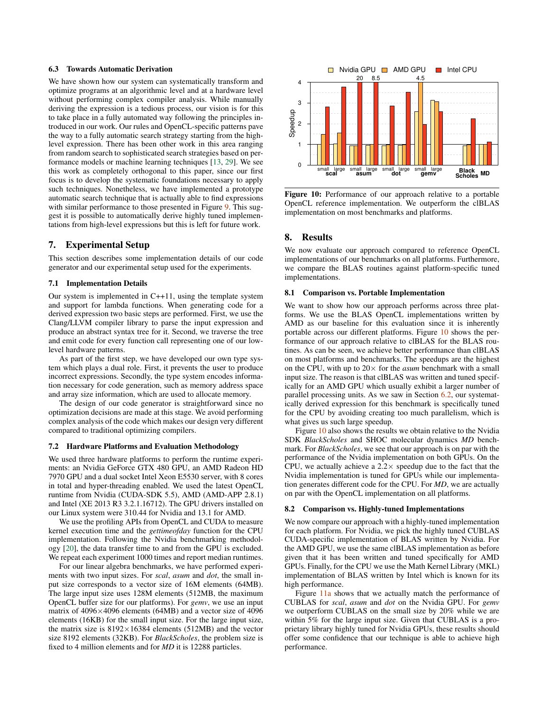#### 6.3 Towards Automatic Derivation

We have shown how our system can systematically transform and optimize programs at an algorithmic level and at a hardware level without performing complex compiler analysis. While manually deriving the expression is a tedious process, our vision is for this to take place in a fully automated way following the principles introduced in our work. Our rules and OpenCL-specific patterns pave the way to a fully automatic search strategy starting from the highlevel expression. There has been other work in this area ranging from random search to sophisticated search strategies based on performance models or machine learning techniques [\[13,](#page-10-17) [29\]](#page-10-4). We see this work as completely orthogonal to this paper, since our first focus is to develop the systematic foundations necessary to apply such techniques. Nonetheless, we have implemented a prototype automatic search technique that is actually able to find expressions with similar performance to those presented in Figure [9.](#page-7-1) This suggest it is possible to automatically derive highly tuned implementations from high-level expressions but this is left for future work.

#### <span id="page-8-0"></span>7. Experimental Setup

This section describes some implementation details of our code generator and our experimental setup used for the experiments.

#### 7.1 Implementation Details

Our system is implemented in C++11, using the template system and support for lambda functions. When generating code for a derived expression two basic steps are performed. First, we use the Clang/LLVM compiler library to parse the input expression and produce an abstract syntax tree for it. Second, we traverse the tree and emit code for every function call representing one of our lowlevel hardware patterns.

As part of the first step, we have developed our own type system which plays a dual role. First, it prevents the user to produce incorrect expressions. Secondly, the type system encodes information necessary for code generation, such as memory address space and array size information, which are used to allocate memory.

The design of our code generator is straightforward since no optimization decisions are made at this stage. We avoid performing complex analysis of the code which makes our design very different compared to traditional optimizing compilers.

#### 7.2 Hardware Platforms and Evaluation Methodology

We used three hardware platforms to perform the runtime experiments: an Nvidia GeForce GTX 480 GPU, an AMD Radeon HD 7970 GPU and a dual socket Intel Xeon E5530 server, with 8 cores in total and hyper-threading enabled. We used the latest OpenCL runtime from Nvidia (CUDA-SDK 5.5), AMD (AMD-APP 2.8.1) and Intel (XE 2013 R3 3.2.1.16712). The GPU drivers installed on our Linux system were 310.44 for Nvidia and 13.1 for AMD.

We use the profiling APIs from OpenCL and CUDA to measure kernel execution time and the *gettimeofday* function for the CPU implementation. Following the Nvidia benchmarking methodology [\[20\]](#page-10-18), the data transfer time to and from the GPU is excluded. We repeat each experiment 1000 times and report median runtimes.

For our linear algebra benchmarks, we have performed experiments with two input sizes. For *scal*, *asum* and *dot*, the small input size corresponds to a vector size of 16M elements (64MB). The large input size uses 128M elements (512MB, the maximum OpenCL buffer size for our platforms). For *gemv*, we use an input matrix of 4096×4096 elements (64MB) and a vector size of 4096 elements (16KB) for the small input size. For the large input size, the matrix size is  $8192 \times 16384$  elements (512MB) and the vector size 8192 elements (32KB). For *BlackScholes*, the problem size is fixed to 4 million elements and for *MD* it is 12288 particles.

<span id="page-8-2"></span>

Figure 10: Performance of our approach relative to a portable OpenCL reference implementation. We outperform the clBLAS implementation on most benchmarks and platforms.

#### <span id="page-8-1"></span>8. Results

We now evaluate our approach compared to reference OpenCL implementations of our benchmarks on all platforms. Furthermore, we compare the BLAS routines against platform-specific tuned implementations.

#### 8.1 Comparison vs. Portable Implementation

We want to show how our approach performs across three platforms. We use the BLAS OpenCL implementations written by AMD as our baseline for this evaluation since it is inherently portable across our different platforms. Figure [10](#page-8-2) shows the performance of our approach relative to clBLAS for the BLAS routines. As can be seen, we achieve better performance than clBLAS on most platforms and benchmarks. The speedups are the highest on the CPU, with up to  $20 \times$  for the *asum* benchmark with a small input size. The reason is that clBLAS was written and tuned specifically for an AMD GPU which usually exhibit a larger number of parallel processing units. As we saw in Section [6.2,](#page-7-2) our systematically derived expression for this benchmark is specifically tuned for the CPU by avoiding creating too much parallelism, which is what gives us such large speedup.

Figure [10](#page-8-2) also shows the results we obtain relative to the Nvidia SDK *BlackScholes* and SHOC molecular dynamics *MD* benchmark. For *BlackScholes*, we see that our approach is on par with the performance of the Nvidia implementation on both GPUs. On the CPU, we actually achieve a  $2.2 \times$  speedup due to the fact that the Nvidia implementation is tuned for GPUs while our implementation generates different code for the CPU. For *MD*, we are actually on par with the OpenCL implementation on all platforms.

#### 8.2 Comparison vs. Highly-tuned Implementations

We now compare our approach with a highly-tuned implementation for each platform. For Nvidia, we pick the highly tuned CUBLAS CUDA-specific implementation of BLAS written by Nvidia. For the AMD GPU, we use the same clBLAS implementation as before given that it has been written and tuned specifically for AMD GPUs. Finally, for the CPU we use the Math Kernel Library (MKL) implementation of BLAS written by Intel which is known for its high performance.

Figure [11a](#page-9-1) shows that we actually match the performance of CUBLAS for *scal*, *asum* and *dot* on the Nvidia GPU. For *gemv* we outperform CUBLAS on the small size by 20% while we are within 5% for the large input size. Given that CUBLAS is a proprietary library highly tuned for Nvidia GPUs, these results should offer some confidence that our technique is able to achieve high performance.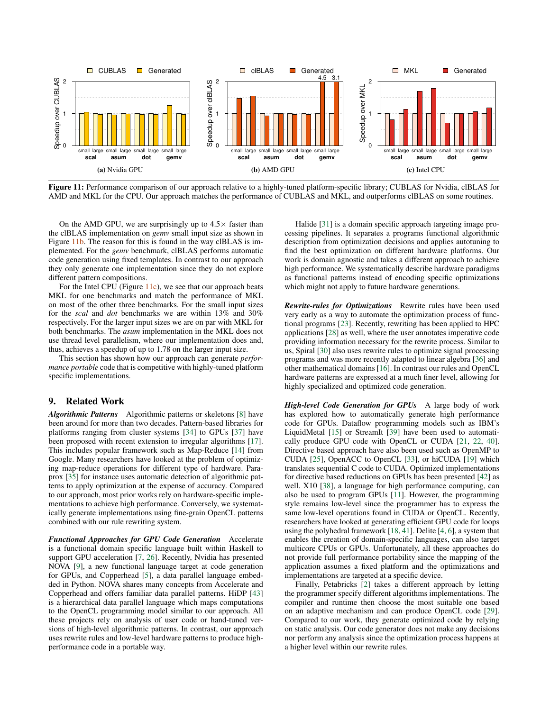<span id="page-9-1"></span>

Figure 11: Performance comparison of our approach relative to a highly-tuned platform-specific library; CUBLAS for Nvidia, clBLAS for AMD and MKL for the CPU. Our approach matches the performance of CUBLAS and MKL, and outperforms clBLAS on some routines.

On the AMD GPU, we are surprisingly up to  $4.5\times$  faster than the clBLAS implementation on *gemv* small input size as shown in Figure [11b.](#page-9-1) The reason for this is found in the way clBLAS is implemented. For the *gemv* benchmark, clBLAS performs automatic code generation using fixed templates. In contrast to our approach they only generate one implementation since they do not explore different pattern compositions.

For the Intel CPU (Figure [11c\)](#page-9-1), we see that our approach beats MKL for one benchmarks and match the performance of MKL on most of the other three benchmarks. For the small input sizes for the *scal* and *dot* benchmarks we are within 13% and 30% respectively. For the larger input sizes we are on par with MKL for both benchmarks. The *asum* implementation in the MKL does not use thread level parallelism, where our implementation does and, thus, achieves a speedup of up to 1.78 on the larger input size.

This section has shown how our approach can generate *performance portable* code that is competitive with highly-tuned platform specific implementations.

### <span id="page-9-0"></span>9. Related Work

*Algorithmic Patterns* Algorithmic patterns or skeletons [\[8\]](#page-10-19) have been around for more than two decades. Pattern-based libraries for platforms ranging from cluster systems [\[34\]](#page-10-20) to GPUs [\[37\]](#page-10-21) have been proposed with recent extension to irregular algorithms [\[17\]](#page-10-22). This includes popular framework such as Map-Reduce [\[14\]](#page-10-23) from Google. Many researchers have looked at the problem of optimizing map-reduce operations for different type of hardware. Paraprox [\[35\]](#page-10-24) for instance uses automatic detection of algorithmic patterns to apply optimization at the expense of accuracy. Compared to our approach, most prior works rely on hardware-specific implementations to achieve high performance. Conversely, we systematically generate implementations using fine-grain OpenCL patterns combined with our rule rewriting system.

*Functional Approaches for GPU Code Generation* Accelerate is a functional domain specific language built within Haskell to support GPU acceleration [\[7,](#page-10-25) [26\]](#page-10-26). Recently, Nvidia has presented NOVA [\[9\]](#page-10-7), a new functional language target at code generation for GPUs, and Copperhead [\[5\]](#page-10-27), a data parallel language embedded in Python. NOVA shares many concepts from Accelerate and Copperhead and offers familiar data parallel patterns. HiDP [\[43\]](#page-10-28) is a hierarchical data parallel language which maps computations to the OpenCL programming model similar to our approach. All these projects rely on analysis of user code or hand-tuned versions of high-level algorithmic patterns. In contrast, our approach uses rewrite rules and low-level hardware patterns to produce highperformance code in a portable way.

Halide [\[31\]](#page-10-29) is a domain specific approach targeting image processing pipelines. It separates a programs functional algorithmic description from optimization decisions and applies autotuning to find the best optimization on different hardware platforms. Our work is domain agnostic and takes a different approach to achieve high performance. We systematically describe hardware paradigms as functional patterns instead of encoding specific optimizations which might not apply to future hardware generations.

*Rewrite-rules for Optimizations* Rewrite rules have been used very early as a way to automate the optimization process of functional programs [\[23\]](#page-10-15). Recently, rewriting has been applied to HPC applications [\[28\]](#page-10-30) as well, where the user annotates imperative code providing information necessary for the rewrite process. Similar to us, Spiral [\[30\]](#page-10-8) also uses rewrite rules to optimize signal processing programs and was more recently adapted to linear algebra [\[36\]](#page-10-31) and other mathematical domains [\[16\]](#page-10-32). In contrast our rules and OpenCL hardware patterns are expressed at a much finer level, allowing for highly specialized and optimized code generation.

*High-level Code Generation for GPUs* A large body of work has explored how to automatically generate high performance code for GPUs. Dataflow programming models such as IBM's LiquidMetal [\[15\]](#page-10-6) or StreamIt [\[39\]](#page-10-10) have been used to automatically produce GPU code with OpenCL or CUDA [\[21,](#page-10-5) [22,](#page-10-33) [40\]](#page-10-34). Directive based approach have also been used such as OpenMP to CUDA [\[25\]](#page-10-1), OpenACC to OpenCL [\[33\]](#page-10-0), or hiCUDA [\[19\]](#page-10-35) which translates sequential C code to CUDA. Optimized implementations for directive based reductions on GPUs has been presented [\[42\]](#page-10-36) as well. X10 [\[38\]](#page-10-37), a language for high performance computing, can also be used to program GPUs [\[11\]](#page-10-38). However, the programming style remains low-level since the programmer has to express the same low-level operations found in CUDA or OpenCL. Recently, researchers have looked at generating efficient GPU code for loops using the polyhedral framework [\[18,](#page-10-39) [41\]](#page-10-40). Delite [\[4,](#page-10-41) [6\]](#page-10-42), a system that enables the creation of domain-specific languages, can also target multicore CPUs or GPUs. Unfortunately, all these approaches do not provide full performance portability since the mapping of the application assumes a fixed platform and the optimizations and implementations are targeted at a specific device.

Finally, Petabricks [\[2\]](#page-10-43) takes a different approach by letting the programmer specify different algorithms implementations. The compiler and runtime then choose the most suitable one based on an adaptive mechanism and can produce OpenCL code [\[29\]](#page-10-4). Compared to our work, they generate optimized code by relying on static analysis. Our code generator does not make any decisions nor perform any analysis since the optimization process happens at a higher level within our rewrite rules.